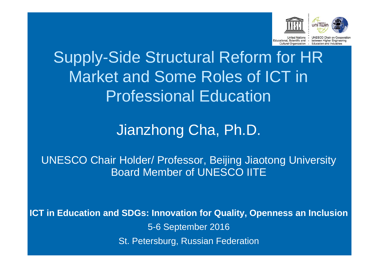

uni Twin

ducational, Scientific and -Cultural Organization .

UNESCO Chair on Coope between Higher Engineering Education and Industries

## Supply-Side Structural Reform for HR Market and Some Roles of ICT in Professional Education

### Jianzhong Cha, Ph.D.

UNESCO Chair Holder/ Professor, Beijing Jiaotong University Board Member of UNESCO IITE

**ICT in Education and SDGs: Innovation for Quality, Openness an Inclusion** 5-6 September 2016 St. Petersburg, Russian Federation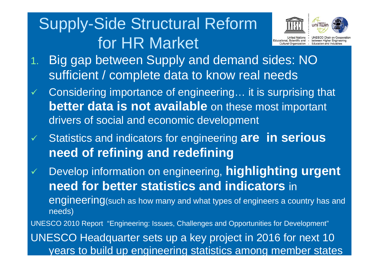## Supply-Side Structural Reform for HR Market



**UNESCO Chair on Coope** between Higher Engineering Educational, Scientific and -

Education and Industries

- 1. Big gap between Supply and demand sides: NO sufficient / complete data to know real needs
- $\checkmark$  Considering importance of engineering… it is surprising that **better data is not available** on these most important drivers of social and economic development
- $\checkmark$  Statistics and indicators for engineering **are in serious need of refining and redefining**

 $\checkmark$  Develop information on engineering, **highlighting urgent need for better statistics and indicators** in engineering(such as how many and what types of engineers a country has and needs)

UNESCO 2010 Report "Engineering: Issues, Challenges and Opportunities for Development" UNESCO Headquarter sets up a key project in 2016 for next 10 years to build up engineering statistics among member states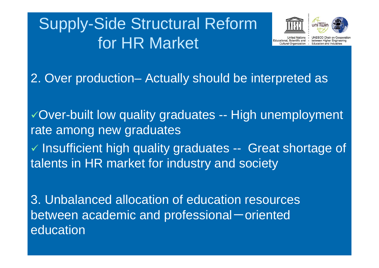## Supply-Side Structural Reform for HR Market



between Higher Engineerin

2. Over production– Actually should be interpreted as

Over-built low quality graduates -- High unemployment rate among new graduates  $\checkmark$  Insufficient high quality graduates -- Great shortage of talents in HR market for industry and society

3. Unbalanced allocation of education resources between academic and professional-oriented education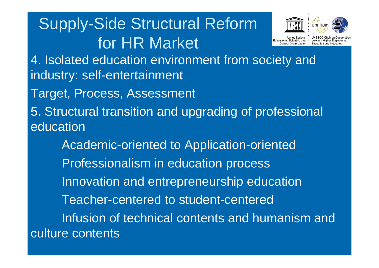## Supply-Side Structural Reform for HR Market



hetween Higher Engineeri

4. Isolated education environment from society and industry: self-entertainment

Target, Process, Assessment

5. Structural transition and upgrading of professional education

Academic-oriented to Application-oriented Professionalism in education process Innovation and entrepreneurship education Teacher-centered to student-centeredInfusion of technical contents and humanism and culture contents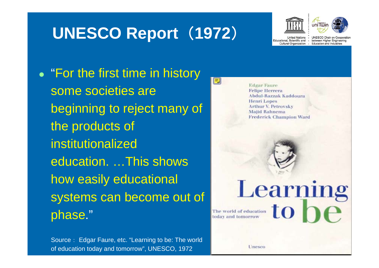## **UNESCO Report** (**1972** )



uni Twin

**Inited Nations** 

**UNESCO Chair on Cooperation** lucational, Scientific and - between Higher Engineering Cultural Organization - Education and Industries

• "For the first time in history some societies are beginning to reject many of the products of institutionalized education. …This shows how easily educational systems can become out of phase."

Source: Edgar Faure, etc. "Learning to be: The world of education today and tomorrow", UNESCO, 1972

**Edgar Faure Felipe Herrera Abdul-Razzak Kaddoura Henri Lopes Arthur V. Petrovsky Majid Rahnema Frederick Champion Ward** 

Learning

 $\equiv$ 

Unesco

The world of education today and tomorrow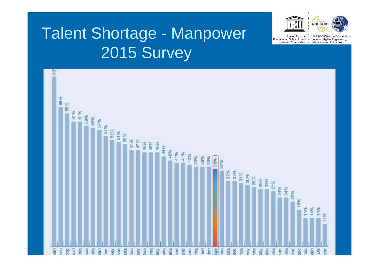## Talent Shortage - Manpower 2015 Survey



uniTwin

**United Nations** 

Educational, Scientific and .

Cultural Organization .

۰.

UNESCO Chair on Cooperation

between Higher Engineering

Education and Industries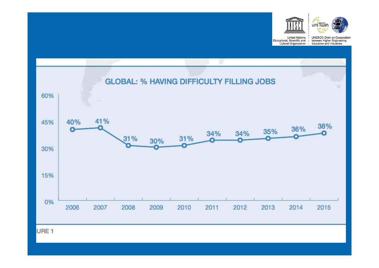

 $\sqrt{\frac{4}{10}}$ 

United Nations -

UNESCO Chair on Cooperation Educational, Scientific and - between Higher Engineering<br>Cultural Organization - Education and Industries

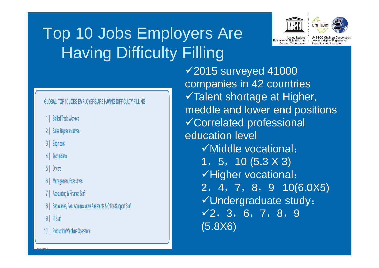## Top 10 Jobs Employers Are Having Difficulty Filling



uniTwin

Inited Nations lucational, Scientific and - between Higher Engineering Cultural Organization - Education and Industries

UNESCO Chair on Cooperation

### GLOBAL: TOP 10 JOBS EMPLOYERS ARE HAVING DIFFICULTY FILLING

- 1 | Skilled Trade Workers
- 2 | Sales Representatives
- 3 | Engineers
- **Technicians**

### **Drivers**

- 6 | Management/Executives
- 7 | Accounting & Finance Staff
- 8 | Secretaries, PAs, Administrative Assistants & Office Support Staff
- 9 | IT Staff
- **Production/Machine Operators**

2015 surveyed 41000 companies in 42 countries Talent shortage at Higher, meddle and lower end positions Correlated professional education level  $\checkmark$  Middle vocational: 1,5,10 (5.3 X 3)  $\checkmark$ Higher vocational: 2,4,7,8,9 10(6.0X5) Undergraduate study:  $\sqrt{2}$ , 3, 6, 7, 8, 9 (5.8X6)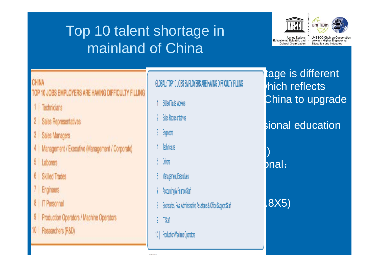### Top 10 talent shortage in mainland of China



 $\sqrt{\frac{1}{10}}$ 

United Nations -

UNESCO Chair on Cooperation Educational, Scientific and - between Higher Engineering Cultural Organization - Education and Industries

### CHINA

### OP 10 JOBS EMPLOYERS ARE HAVING DIFFICULTY FILLING

- 1 | Technicians
- 2 | Sales Representatives
- 3 | Sales Managers
- 4 | Management / Executive (Management / Corporate)
- 5 Laborers
- 6 | Skilled Trades
- 7 | Engineers
- 8 | IT Personnel
- 9 | Production Operators / Machine Operators
- 10 | Researchers (R&D)

### $GLOBAL: TOP 10 JOBS EMPLOYERS ARE HAVING DIFFCULTY FILING  $h$$

Middle vocational:

(f)  $\mathbb{R}$   $\mathbb{R}$   $\mathbb{R}$   $\mathbb{R}$ 

Ξ

- its industries2 | Sales Representatives
- 
- 4 | Technicians
- 5 Drivers
- $\sim$  1,2,8  $\sim$  1,2,8  $\sim$  1,2,8  $\sim$  1,2,8  $\sim$  1,2,8  $\sim$  1,2,8  $\sim$  1,3  $\sim$  1,3  $\sim$  1,3  $\sim$  1,3  $\sim$  1,3  $\sim$  1,3  $\sim$  1,3  $\sim$  1,3  $\sim$  1,3  $\sim$  1,3  $\sim$  1,3  $\sim$  1,3  $\sim$  1,3  $\sim$  1,3  $\sim$  1,3  $\sim$  1,3  $\sim$  1,3  $\$
- 7 | Accounting & Finance Staff
- 8 | Secretaries, PAs, Administrative Assistants & Office Support Staff | | 8X5)
- $9$  |  $\sqrt{15}$  Staff
- $\frac{1}{2}$

## tage is different 1 | Skilled Trade Workers

## **Correlation professional education**

### $b$ nal: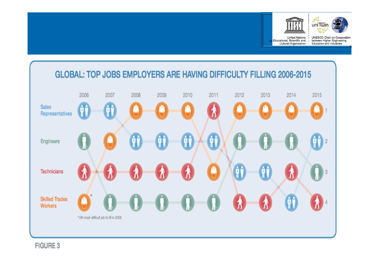



United Nations -

UNESCO Chair on Cooperation Educational, Scientific and - between Higher Engineering Cultural Organization - Education and Industries

### GLOBAL: TOP JOBS EMPLOYERS ARE HAVING DIFFICULTY FILLING 2006-2015



**FIGURE 3**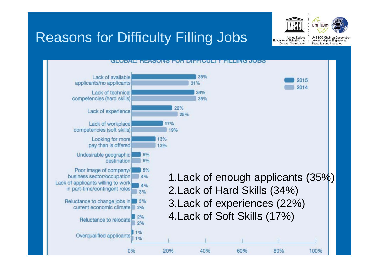

**Jnited Nations** 

Cultural Organization - Education and Industries

ucational, Scientific and -



**UNESCO Chair on Cooperation** 

between Higher Engineering

Reasons for Difficulty Filling Jobs

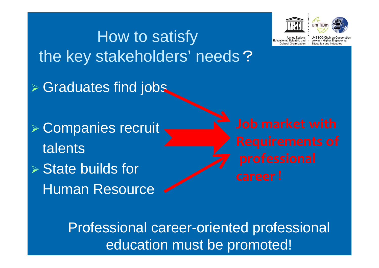# How to satisfy the key stakeholders' needs? Graduates find jobs Companies recruit talents $\triangleright$  State builds for Human Resource



fungtional Scientific and Cultural Organization .

**UNESCO Chair on Cooperal** between Higher Engineering Education and Industries

Professional career-oriented professional education must be promoted!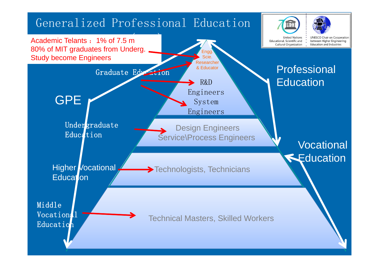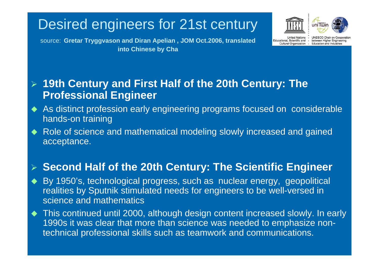### Desired engineers for 21st century





source: **Gretar Tryggvason and Diran Apelian , JOM Oct.2006, translated into Chinese by Cha** 

aited Nations

**UNESCO Chair on Cooperation** Educational, Scientific and - between Higher Engineering Cultural Organization - Education and Industries

### $\blacktriangleright$  **19th Century and First Half of the 20th Century: The Professional Engineer**

- $\blacklozenge$ As distinct profession early engineering programs focused on considerable hands-on training
- $\blacklozenge$  Role of science and mathematical modeling slowly increased and gained acceptance.

### **Second Half of the 20th Century: The Scientific Engineer**

- $\blacklozenge$  By 1950's, technological progress, such as nuclear energy, geopolitical realities by Sputnik stimulated needs for engineers to be well-versed in science and mathematics
- $\blacklozenge$  This continued until 2000, although design content increased slowly. In early 1990s it was clear that more than science was needed to emphasize nontechnical professional skills such as teamwork and communications.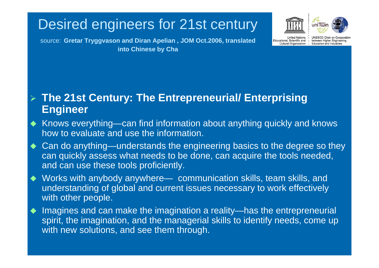### Desired engineers for 21st century





source: **Gretar Tryggvason and Diran Apelian , JOM Oct.2006, translated into Chinese by Cha** 

aited Nations

UNESCO Chair on Cooperation Educational, Scientific and - between Higher Engineering Cultural Organization - Education and Industries

### **The 21st Century: The Entrepreneurial/ Enterprising Engineer**

- $\blacklozenge$  Knows everything—can find information about anything quickly and knows how to evaluate and use the information.
- $\blacklozenge$  Can do anything—understands the engineering basics to the degree so they can quickly assess what needs to be done, can acquire the tools needed, and can use these tools proficiently.
- $\blacklozenge$  Works with anybody anywhere— communication skills, team skills, and understanding of global and current issues necessary to work effectively with other people.
- $\blacklozenge$  Imagines and can make the imagination a reality—has the entrepreneurial spirit, the imagination, and the managerial skills to identify needs, come up with new solutions, and see them through.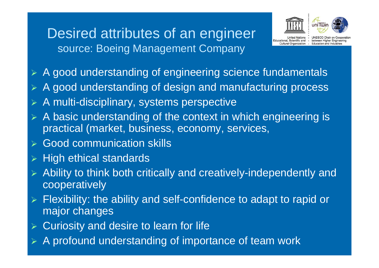### Desired attributes of an engineer source: Boeing Management Company



**UNESCO Chair on Cooperat** between Higher Engineering Scientific and -Cultural Organization - Education and Industries

- $\blacktriangleright$ A good understanding of engineering science fundamentals
- $\blacktriangleright$ A good understanding of design and manufacturing process
- $\blacktriangleright$ A multi-disciplinary, systems perspective
- $\blacktriangleright$  A basic understanding of the context in which engineering is practical (market, business, economy, services,
- **► Good communication skills**
- $\blacktriangleright$ High ethical standards
- $\blacktriangleright$  Ability to think both critically and creatively-independently and cooperatively
- $\blacktriangleright$  Flexibility: the ability and self-confidence to adapt to rapid or major changes
- $\blacktriangleright$ Curiosity and desire to learn for life
- $\blacktriangleright$ A profound understanding of importance of team work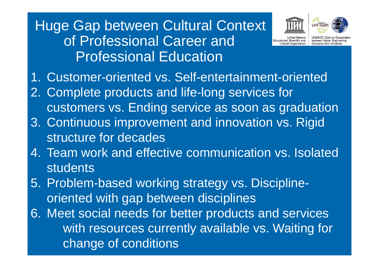### Huge Gap between Cultural Context of Professional Career and Professional Education





d Nations .

**UNESCO Chair on Coope** ducational, Scientific and - between Higher Engineering Cultural Organization - Education and Industries

- 1. Customer-oriented vs. Self-entertainment-oriented
- 2. Complete products and life-long services for customers vs. Ending service as soon as graduation
- 3. Continuous improvement and innovation vs. Rigid structure for decades
- 4. Team work and effective communication vs. Isolated **students**
- 5. Problem-based working strategy vs. Disciplineoriented with gap between disciplines
- 6. Meet social needs for better products and services with resources currently available vs. Waiting for change of conditions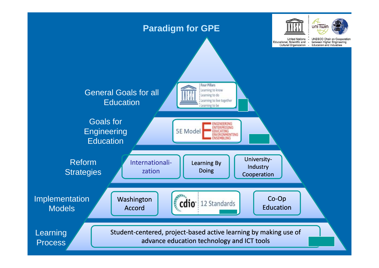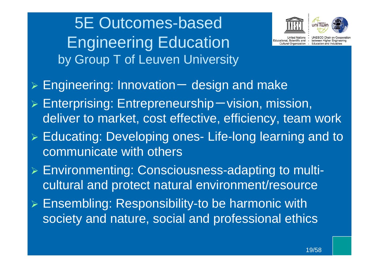5E Outcomes-based Engineering Education by Group T of Leuven University





d Nations

**UNESCO Chair on Cooperation** Educational, Scientific and - between Higher Engineering Cultural Organization - Education and Industries

- $\blacktriangleright$  Engineering: Innovation -- design and make
- $\blacktriangleright$  $\triangleright$  Enterprising: Entrepreneurship – vision, mission, deliver to market, cost effective, efficiency, team work
- $\blacktriangleright$  Educating: Developing ones- Life-long learning and to communicate with others
- Environmenting: Consciousness-adapting to multicultural and protect natural environment/resource
- Ensembling: Responsibility-to be harmonic with society and nature, social and professional ethics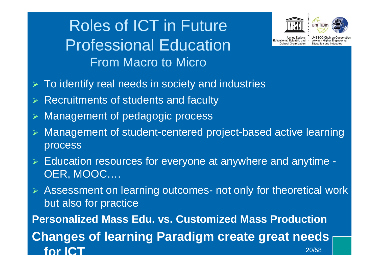## Roles of ICT in Future Professional EducationFrom Macro to Micro



uni Twin

**ited Nations** 

**UNESCO Chair on Cooperal** Educational, Scientific and - between Higher Engineering Cultural Organization - Education and Industries

- $\blacktriangleright$ To identify real needs in society and industries
- $\triangleright$  Recruitments of students and faculty
- $\blacktriangleright$ Management of pedagogic process
- $\blacktriangleright$  Management of student-centered project-based active learning process
- Education resources for everyone at anywhere and anytime OER, MOOC….
- Assessment on learning outcomes- not only for theoretical work but also for practice **Personalized Mass Edu. vs. Customized Mass Production Changes of learning Paradigm create great needs for ICT**  $\overline{\phantom{a}}$  20/58  $\overline{\phantom{a}}$  20/58  $\overline{\phantom{a}}$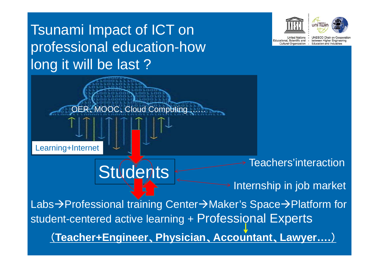### uni Twin Tsunami Impact of ICT on Inited Nations **UNESCO Chair on Cooperation** ducational, Scientific and between Higher Engineering professional education-how Cultural Organization - Education and Industries long it will be last ? OER 、MOOC 、Cloud Computing …… Books $\lceil \lceil \lceil \lceil \rceil \rceil \rceil$  $\uparrow$   $\uparrow$   $\uparrow$   $\uparrow$   $\uparrow$  $\mathbb{R}^2$ -based in  $\mathcal{L}=\mathcal{L}[\mathcal{L}[\mathcal{L}[\mathcal{L}]]]$ Learning+Internet Teachers'interaction**Students** Internship in job marketLabs→Professional training Center→Maker's Space→Platform for student-centered active learning + Professional Experts (**Teacher+Engineer** 、**Physician** 、**Accountant** 、**Lawyer….** )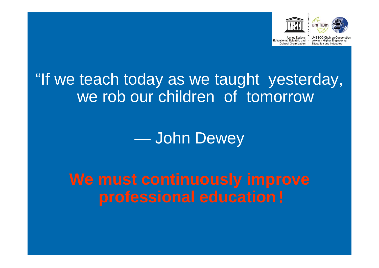



United Nations -

**UNESCO Chair on Cooperation** Educational, Scientific and - between Higher Engineering Cultural Organization - Education and Industries

### "If we teach today as we taught yesterday, we rob our children of tomorrow

John Dewey

**We must continuously improve professional education**